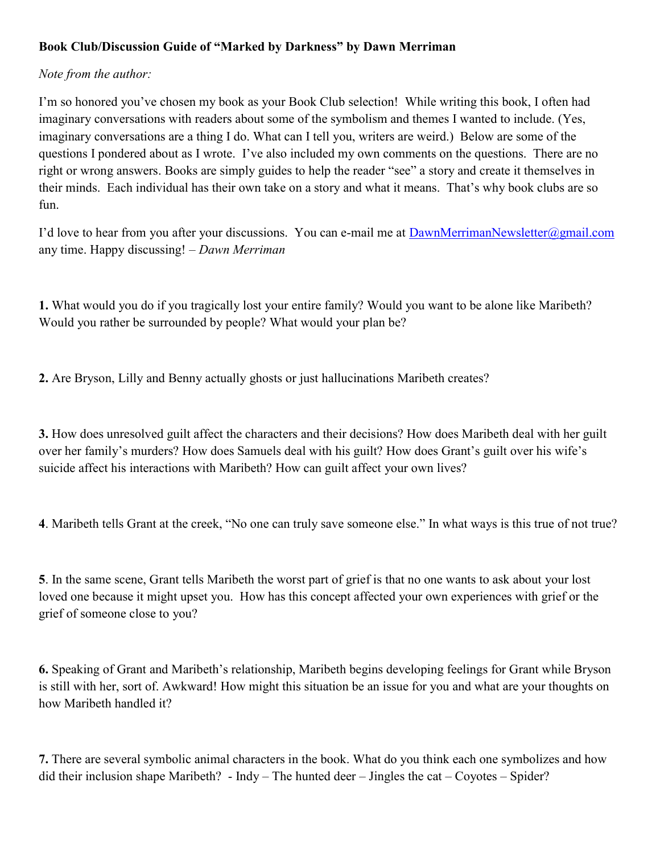## Book Club/Discussion Guide of "Marked by Darkness" by Dawn Merriman

## Note from the author:

I'm so honored you've chosen my book as your Book Club selection! While writing this book, I often had imaginary conversations with readers about some of the symbolism and themes I wanted to include. (Yes, imaginary conversations are a thing I do. What can I tell you, writers are weird.) Below are some of the questions I pondered about as I wrote. I've also included my own comments on the questions. There are no right or wrong answers. Books are simply guides to help the reader "see" a story and create it themselves in their minds. Each individual has their own take on a story and what it means. That's why book clubs are so fun.

I'd love to hear from you after your discussions. You can e-mail me at DawnMerrimanNewsletter@gmail.com any time. Happy discussing! – Dawn Merriman

1. What would you do if you tragically lost your entire family? Would you want to be alone like Maribeth? Would you rather be surrounded by people? What would your plan be?

2. Are Bryson, Lilly and Benny actually ghosts or just hallucinations Maribeth creates?

3. How does unresolved guilt affect the characters and their decisions? How does Maribeth deal with her guilt over her family's murders? How does Samuels deal with his guilt? How does Grant's guilt over his wife's suicide affect his interactions with Maribeth? How can guilt affect your own lives?

4. Maribeth tells Grant at the creek, "No one can truly save someone else." In what ways is this true of not true?

5. In the same scene, Grant tells Maribeth the worst part of grief is that no one wants to ask about your lost loved one because it might upset you. How has this concept affected your own experiences with grief or the grief of someone close to you?

6. Speaking of Grant and Maribeth's relationship, Maribeth begins developing feelings for Grant while Bryson is still with her, sort of. Awkward! How might this situation be an issue for you and what are your thoughts on how Maribeth handled it?

7. There are several symbolic animal characters in the book. What do you think each one symbolizes and how did their inclusion shape Maribeth? - Indy – The hunted deer – Jingles the cat – Coyotes – Spider?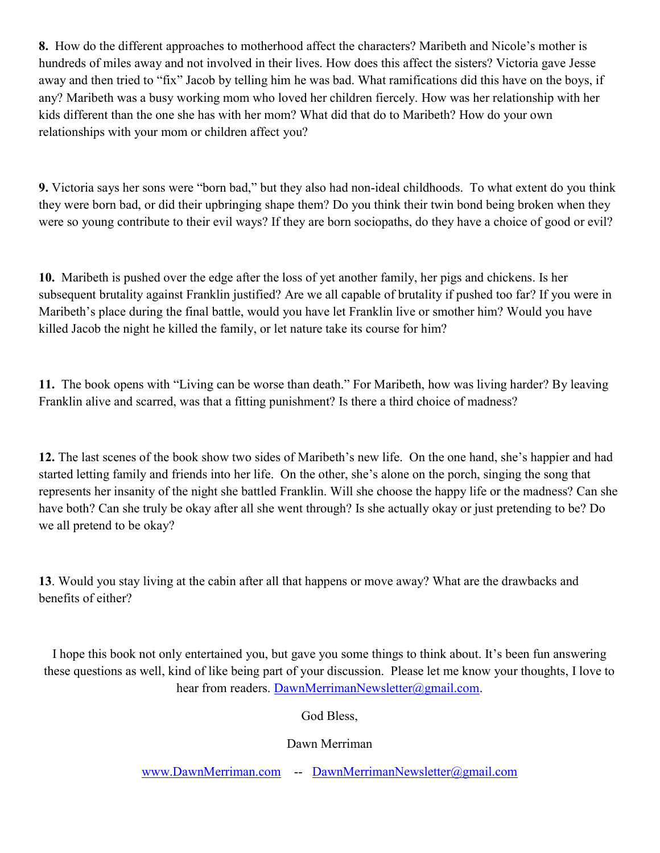8. How do the different approaches to motherhood affect the characters? Maribeth and Nicole's mother is hundreds of miles away and not involved in their lives. How does this affect the sisters? Victoria gave Jesse away and then tried to "fix" Jacob by telling him he was bad. What ramifications did this have on the boys, if any? Maribeth was a busy working mom who loved her children fiercely. How was her relationship with her kids different than the one she has with her mom? What did that do to Maribeth? How do your own relationships with your mom or children affect you?

9. Victoria says her sons were "born bad," but they also had non-ideal childhoods. To what extent do you think they were born bad, or did their upbringing shape them? Do you think their twin bond being broken when they were so young contribute to their evil ways? If they are born sociopaths, do they have a choice of good or evil?

10. Maribeth is pushed over the edge after the loss of yet another family, her pigs and chickens. Is her subsequent brutality against Franklin justified? Are we all capable of brutality if pushed too far? If you were in Maribeth's place during the final battle, would you have let Franklin live or smother him? Would you have killed Jacob the night he killed the family, or let nature take its course for him?

11. The book opens with "Living can be worse than death." For Maribeth, how was living harder? By leaving Franklin alive and scarred, was that a fitting punishment? Is there a third choice of madness?

12. The last scenes of the book show two sides of Maribeth's new life. On the one hand, she's happier and had started letting family and friends into her life. On the other, she's alone on the porch, singing the song that represents her insanity of the night she battled Franklin. Will she choose the happy life or the madness? Can she have both? Can she truly be okay after all she went through? Is she actually okay or just pretending to be? Do we all pretend to be okay?

13. Would you stay living at the cabin after all that happens or move away? What are the drawbacks and benefits of either?

I hope this book not only entertained you, but gave you some things to think about. It's been fun answering these questions as well, kind of like being part of your discussion. Please let me know your thoughts, I love to hear from readers. DawnMerrimanNewsletter@gmail.com.

God Bless,

Dawn Merriman

www.DawnMerriman.com -- DawnMerrimanNewsletter@gmail.com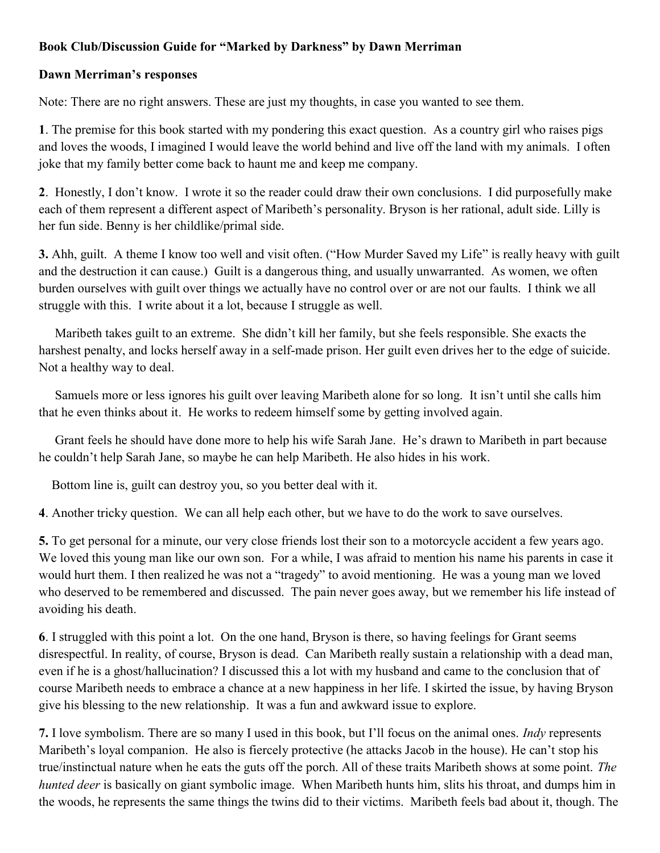## Book Club/Discussion Guide for "Marked by Darkness" by Dawn Merriman

## Dawn Merriman's responses

Note: There are no right answers. These are just my thoughts, in case you wanted to see them.

1. The premise for this book started with my pondering this exact question. As a country girl who raises pigs and loves the woods, I imagined I would leave the world behind and live off the land with my animals. I often joke that my family better come back to haunt me and keep me company.

2. Honestly, I don't know. I wrote it so the reader could draw their own conclusions. I did purposefully make each of them represent a different aspect of Maribeth's personality. Bryson is her rational, adult side. Lilly is her fun side. Benny is her childlike/primal side.

3. Ahh, guilt. A theme I know too well and visit often. ("How Murder Saved my Life" is really heavy with guilt and the destruction it can cause.) Guilt is a dangerous thing, and usually unwarranted. As women, we often burden ourselves with guilt over things we actually have no control over or are not our faults. I think we all struggle with this. I write about it a lot, because I struggle as well.

 Maribeth takes guilt to an extreme. She didn't kill her family, but she feels responsible. She exacts the harshest penalty, and locks herself away in a self-made prison. Her guilt even drives her to the edge of suicide. Not a healthy way to deal.

 Samuels more or less ignores his guilt over leaving Maribeth alone for so long. It isn't until she calls him that he even thinks about it. He works to redeem himself some by getting involved again.

 Grant feels he should have done more to help his wife Sarah Jane. He's drawn to Maribeth in part because he couldn't help Sarah Jane, so maybe he can help Maribeth. He also hides in his work.

Bottom line is, guilt can destroy you, so you better deal with it.

4. Another tricky question. We can all help each other, but we have to do the work to save ourselves.

5. To get personal for a minute, our very close friends lost their son to a motorcycle accident a few years ago. We loved this young man like our own son. For a while, I was afraid to mention his name his parents in case it would hurt them. I then realized he was not a "tragedy" to avoid mentioning. He was a young man we loved who deserved to be remembered and discussed. The pain never goes away, but we remember his life instead of avoiding his death.

6. I struggled with this point a lot. On the one hand, Bryson is there, so having feelings for Grant seems disrespectful. In reality, of course, Bryson is dead. Can Maribeth really sustain a relationship with a dead man, even if he is a ghost/hallucination? I discussed this a lot with my husband and came to the conclusion that of course Maribeth needs to embrace a chance at a new happiness in her life. I skirted the issue, by having Bryson give his blessing to the new relationship. It was a fun and awkward issue to explore.

7. I love symbolism. There are so many I used in this book, but I'll focus on the animal ones. Indy represents Maribeth's loyal companion. He also is fiercely protective (he attacks Jacob in the house). He can't stop his true/instinctual nature when he eats the guts off the porch. All of these traits Maribeth shows at some point. The hunted deer is basically on giant symbolic image. When Maribeth hunts him, slits his throat, and dumps him in the woods, he represents the same things the twins did to their victims. Maribeth feels bad about it, though. The